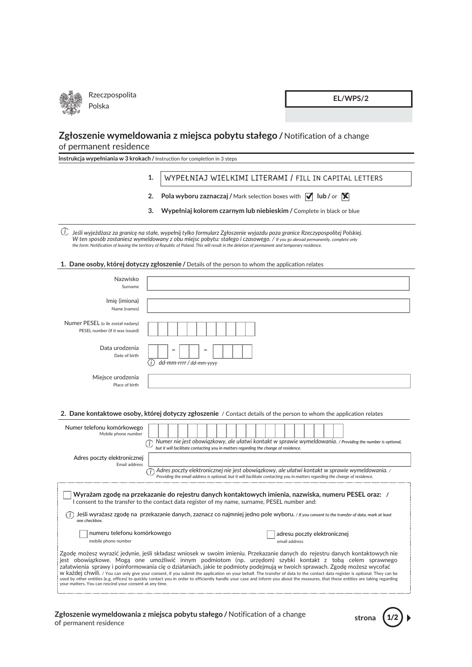

EL/WPS/2

# Zgłoszenie wymeldowania z miejsca pobytu stałego / Notification of a change of permanent residence

Instrukcja wypełniania w 3 krokach / Instruction for completion in 3 steps

#### WYPEŁNIAJ WIELKIMI LITERAMI / FILL IN CAPITAL LETTERS  $1.$

- 2. Pola wyboru zaznaczaj / Mark selection boxes with  $\sqrt{\phantom{a}}$  lub / or  $\sqrt{\phantom{a}}$
- $3.$ Wypełniaj kolorem czarnym lub niebieskim / Complete in black or blue

 $\odot$ Jeśli wyjeżdżasz za granicę na stałe, wypełnij tylko formularz Zgłoszenie wyjazdu poza granice Rzeczypospolitej Polskiej. Section 1995 of the Space Law Contract Contract Contract Law Contract Contract Contract Contract Contract Contract Contract Contract Contract Contract Contract Contract Contract Contract Contract Contract Contract Contract

### 1. Dane osoby, której dotyczy zgłoszenie / Details of the person to whom the application relates

| Nazwisko<br>Surname                                                                                                                                                                                                                                                                                                                                                                                                                                                                                                                                                                                                                                                                                                                                                                                   |                                                                                                                                                                                                                                |  |
|-------------------------------------------------------------------------------------------------------------------------------------------------------------------------------------------------------------------------------------------------------------------------------------------------------------------------------------------------------------------------------------------------------------------------------------------------------------------------------------------------------------------------------------------------------------------------------------------------------------------------------------------------------------------------------------------------------------------------------------------------------------------------------------------------------|--------------------------------------------------------------------------------------------------------------------------------------------------------------------------------------------------------------------------------|--|
| Imię (imiona)<br>Name (names)                                                                                                                                                                                                                                                                                                                                                                                                                                                                                                                                                                                                                                                                                                                                                                         |                                                                                                                                                                                                                                |  |
| Numer PESEL (o ile został nadany)<br>PESEL number (if it was issued)                                                                                                                                                                                                                                                                                                                                                                                                                                                                                                                                                                                                                                                                                                                                  |                                                                                                                                                                                                                                |  |
| Data urodzenia<br>Date of birth                                                                                                                                                                                                                                                                                                                                                                                                                                                                                                                                                                                                                                                                                                                                                                       | dd-mm-rrrr / dd-mm-yyyy<br>( i )                                                                                                                                                                                               |  |
| Miejsce urodzenia<br>Place of birth                                                                                                                                                                                                                                                                                                                                                                                                                                                                                                                                                                                                                                                                                                                                                                   |                                                                                                                                                                                                                                |  |
|                                                                                                                                                                                                                                                                                                                                                                                                                                                                                                                                                                                                                                                                                                                                                                                                       | 2. Dane kontaktowe osoby, której dotyczy zgłoszenie / Contact details of the person to whom the application relates                                                                                                            |  |
| Numer telefonu komórkowego<br>Mobile phone number                                                                                                                                                                                                                                                                                                                                                                                                                                                                                                                                                                                                                                                                                                                                                     | Numer nie jest obowiązkowy, ale ułatwi kontakt w sprawie wymeldowania. / Providing the number is optional,<br>G.<br>but it will facilitate contacting you in matters regarding the change of residence.                        |  |
| Adres poczty elektronicznej<br>Email address                                                                                                                                                                                                                                                                                                                                                                                                                                                                                                                                                                                                                                                                                                                                                          | Adres poczty elektronicznej nie jest obowiązkowy, ale ułatwi kontakt w sprawie wymeldowania. /<br>Providing the email address is optional, but it will facilitate contacting you in matters regarding the change of residence. |  |
| Wyrażam zgodę na przekazanie do rejestru danych kontaktowych imienia, nazwiska, numeru PESEL oraz: /<br>I consent to the transfer to the contact data register of my name, surname, PESEL number and:<br>Jeśli wyrażasz zgodę na przekazanie danych, zaznacz co najmniej jedno pole wyboru. / If you consent to the transfer of data, mark at least<br>one checkbox.                                                                                                                                                                                                                                                                                                                                                                                                                                  |                                                                                                                                                                                                                                |  |
| numeru telefonu komórkowego<br>mobile phone number                                                                                                                                                                                                                                                                                                                                                                                                                                                                                                                                                                                                                                                                                                                                                    | adresu poczty elektronicznej<br>email address                                                                                                                                                                                  |  |
| Zgode możesz wyrazić jedynie, jeśli składasz wniosek w swoim imieniu. Przekazanie danych do rejestru danych kontaktowych nie<br>jest obowiązkowe. Mogą one umożliwić innym podmiotom (np. urzędom) szybki kontakt z tobą celem sprawnego<br>załatwienia sprawy i poinformowania cię o działaniach, jakie te podmioty podejmują w twoich sprawach. Zgodę możesz wycofać<br>W kazdej chwili. / You can only give your consent, if you submit the application on your behalf. The transfer of data to the contact data register is optional. They can be<br>used by other entities (e.g. offices) to quickly contact you in order to efficiently handle your case and inform you about the measures, that these entities are taking regarding<br>your matters. You can rescind your consent at any time. |                                                                                                                                                                                                                                |  |

## Zgłoszenie wymeldowania z miejsca pobytu stałego / Notification of a change of permanent residence